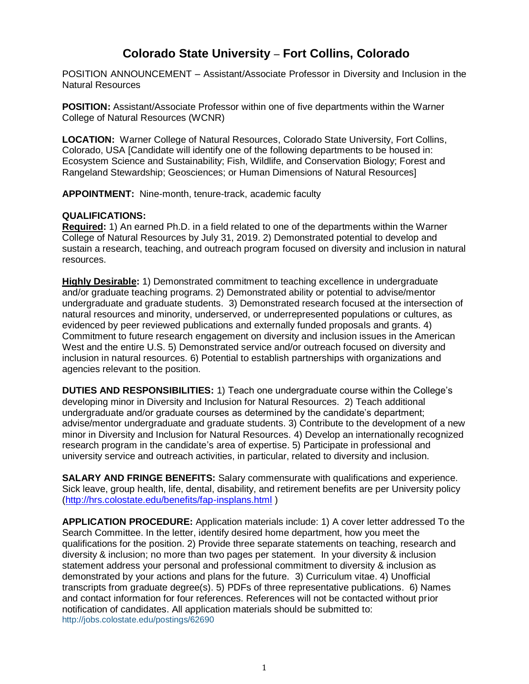## **Colorado State University** – **Fort Collins, Colorado**

POSITION ANNOUNCEMENT – Assistant/Associate Professor in Diversity and Inclusion in the Natural Resources

**POSITION:** Assistant/Associate Professor within one of five departments within the Warner College of Natural Resources (WCNR)

**LOCATION:** Warner College of Natural Resources, Colorado State University, Fort Collins, Colorado, USA [Candidate will identify one of the following departments to be housed in: Ecosystem Science and Sustainability; Fish, Wildlife, and Conservation Biology; Forest and Rangeland Stewardship; Geosciences; or Human Dimensions of Natural Resources]

**APPOINTMENT:** Nine-month, tenure-track, academic faculty

## **QUALIFICATIONS:**

**Required:** 1) An earned Ph.D. in a field related to one of the departments within the Warner College of Natural Resources by July 31, 2019. 2) Demonstrated potential to develop and sustain a research, teaching, and outreach program focused on diversity and inclusion in natural resources.

**Highly Desirable:** 1) Demonstrated commitment to teaching excellence in undergraduate and/or graduate teaching programs. 2) Demonstrated ability or potential to advise/mentor undergraduate and graduate students. 3) Demonstrated research focused at the intersection of natural resources and minority, underserved, or underrepresented populations or cultures, as evidenced by peer reviewed publications and externally funded proposals and grants. 4) Commitment to future research engagement on diversity and inclusion issues in the American West and the entire U.S. 5) Demonstrated service and/or outreach focused on diversity and inclusion in natural resources. 6) Potential to establish partnerships with organizations and agencies relevant to the position.

**DUTIES AND RESPONSIBILITIES:** 1) Teach one undergraduate course within the College's developing minor in Diversity and Inclusion for Natural Resources. 2) Teach additional undergraduate and/or graduate courses as determined by the candidate's department; advise/mentor undergraduate and graduate students. 3) Contribute to the development of a new minor in Diversity and Inclusion for Natural Resources. 4) Develop an internationally recognized research program in the candidate's area of expertise. 5) Participate in professional and university service and outreach activities, in particular, related to diversity and inclusion.

**SALARY AND FRINGE BENEFITS:** Salary commensurate with qualifications and experience. Sick leave, group health, life, dental, disability, and retirement benefits are per University policy [\(http://hrs.colostate.edu/benefits/fap-insplans.html](http://hrs.colostate.edu/benefits/fap-insplans.html) )

**APPLICATION PROCEDURE:** Application materials include: 1) A cover letter addressed To the Search Committee. In the letter, identify desired home department, how you meet the qualifications for the position. 2) Provide three separate statements on teaching, research and diversity & inclusion; no more than two pages per statement. In your diversity & inclusion statement address your personal and professional commitment to diversity & inclusion as demonstrated by your actions and plans for the future. 3) Curriculum vitae. 4) Unofficial transcripts from graduate degree(s). 5) PDFs of three representative publications. 6) Names and contact information for four references. References will not be contacted without prior notification of candidates. All application materials should be submitted to: <http://jobs.colostate.edu/postings/62690>